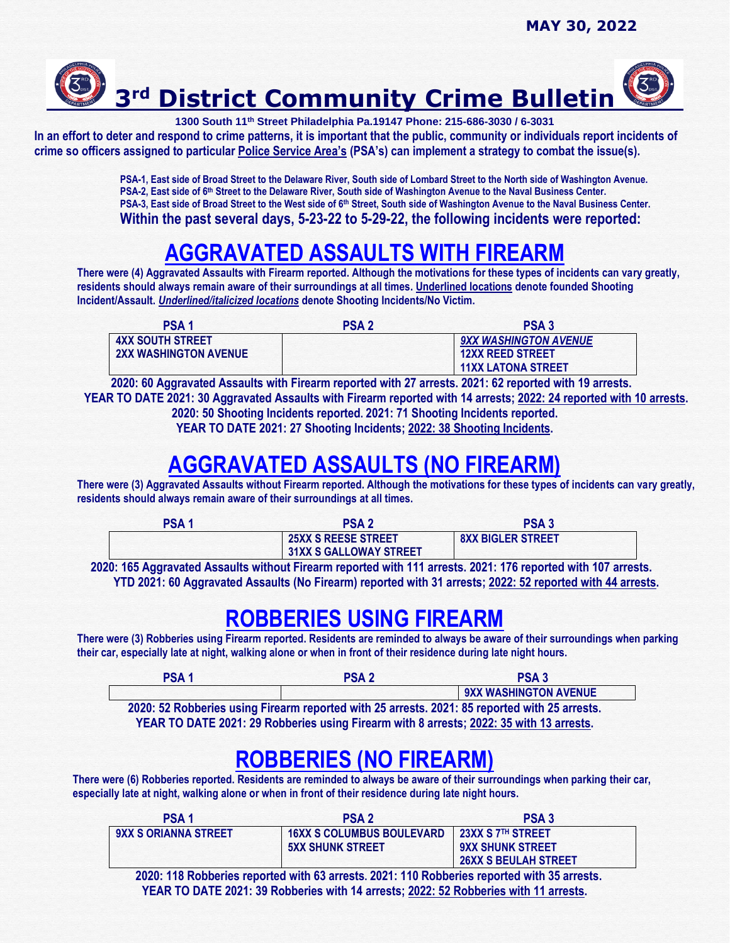

**1300 South 11th Street Philadelphia Pa.19147 Phone: 215-686-3030 / 6-3031**

**In an effort to deter and respond to crime patterns, it is important that the public, community or individuals report incidents of crime so officers assigned to particular Police Service Area's (PSA's) can implement a strategy to combat the issue(s).** 

> **PSA-1, East side of Broad Street to the Delaware River, South side of Lombard Street to the North side of Washington Avenue.** PSA-2, East side of 6<sup>th</sup> Street to the Delaware River, South side of Washington Avenue to the Naval Business Center. **PSA-3, East side of Broad Street to the West side of 6th Street, South side of Washington Avenue to the Naval Business Center. Within the past several days, 5-23-22 to 5-29-22, the following incidents were reported:**

# **AGGRAVATED ASSAULTS WITH FIREARM**

**There were (4) Aggravated Assaults with Firearm reported. Although the motivations for these types of incidents can vary greatly, residents should always remain aware of their surroundings at all times. Underlined locations denote founded Shooting Incident/Assault.** *Underlined/italicized locations* **denote Shooting Incidents/No Victim.** 

| <b>PSA1</b>                  | <b>PSA2</b> | <b>PSA3</b>               |
|------------------------------|-------------|---------------------------|
| <b>4XX SOUTH STREET</b>      |             | 9XX WASHINGTON AVENUE     |
| <b>2XX WASHINGTON AVENUE</b> |             | <b>12XX REED STREET</b>   |
|                              |             | <b>11XX LATONA STREET</b> |

 **2020: 60 Aggravated Assaults with Firearm reported with 27 arrests. 2021: 62 reported with 19 arrests. YEAR TO DATE 2021: 30 Aggravated Assaults with Firearm reported with 14 arrests; 2022: 24 reported with 10 arrests. 2020: 50 Shooting Incidents reported. 2021: 71 Shooting Incidents reported. YEAR TO DATE 2021: 27 Shooting Incidents; 2022: 38 Shooting Incidents.**

## **AGGRAVATED ASSAULTS (NO FIREARM)**

**There were (3) Aggravated Assaults without Firearm reported. Although the motivations for these types of incidents can vary greatly, residents should always remain aware of their surroundings at all times.** 

| PSA 1 | PSA <sub>7</sub>              | <b>PSA3</b>              |  |
|-------|-------------------------------|--------------------------|--|
|       | <b>25XX S REESE STREET</b>    | <b>8XX BIGLER STREET</b> |  |
|       | <b>31XX S GALLOWAY STREET</b> |                          |  |

 **2020: 165 Aggravated Assaults without Firearm reported with 111 arrests. 2021: 176 reported with 107 arrests. YTD 2021: 60 Aggravated Assaults (No Firearm) reported with 31 arrests; 2022: 52 reported with 44 arrests.**

### **ROBBERIES USING FIREARM**

**There were (3) Robberies using Firearm reported. Residents are reminded to always be aware of their surroundings when parking their car, especially late at night, walking alone or when in front of their residence during late night hours.**

| <b>PSA</b> | <b>PSA2</b> | PSA <sub>3</sub>      |
|------------|-------------|-----------------------|
|            |             | 9XX WASHINGTON AVENUE |

**2020: 52 Robberies using Firearm reported with 25 arrests. 2021: 85 reported with 25 arrests. YEAR TO DATE 2021: 29 Robberies using Firearm with 8 arrests; 2022: 35 with 13 arrests.**

### **ROBBERIES (NO FIREARM)**

**There were (6) Robberies reported. Residents are reminded to always be aware of their surroundings when parking their car, especially late at night, walking alone or when in front of their residence during late night hours.**

| <b>PSA1</b>                                                                                 | <b>PSA 2</b>                     | <b>PSA3</b>                 |
|---------------------------------------------------------------------------------------------|----------------------------------|-----------------------------|
| <b>9XX S ORIANNA STREET</b>                                                                 | <b>16XX S COLUMBUS BOULEVARD</b> | 23XX S 7TH STREET           |
|                                                                                             | <b>5XX SHUNK STREET</b>          | <b>9XX SHUNK STREET</b>     |
|                                                                                             |                                  | <b>26XX S BEULAH STREET</b> |
| 2020: 118 Robberies reported with 63 arrests. 2021: 110 Robberies reported with 35 arrests. |                                  |                             |

**YEAR TO DATE 2021: 39 Robberies with 14 arrests; 2022: 52 Robberies with 11 arrests.**